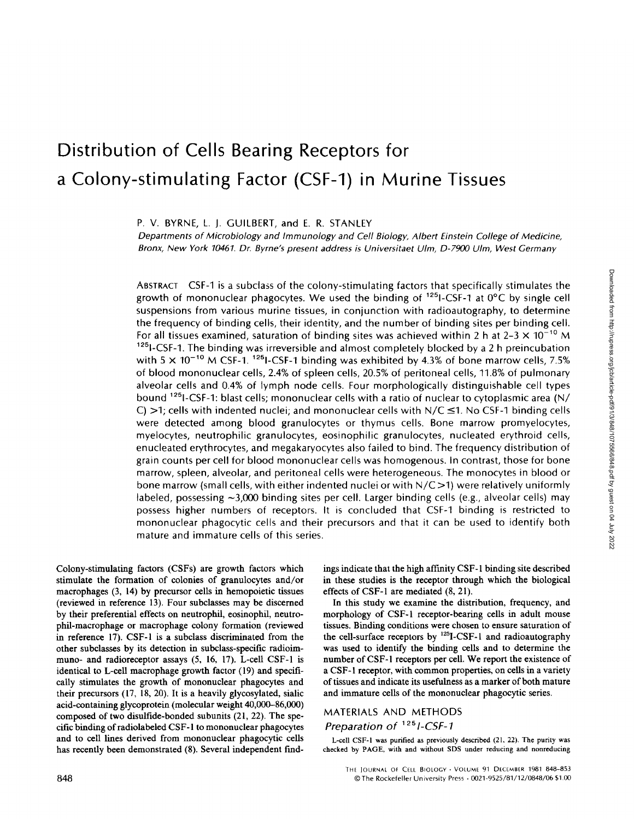# Distribution of Cells Bearing Receptors for a Colony-stimulating Factor (CSF-1) in Murine Tissues

P. V. BYRNE, L. J. GUILBERT, and E. R. STANLEY

Departments of Microbiology and Immunology and Cell Biology, Albert Einstein College of Medicine, Bronx, New York 10461. Dr. Byrne's present address is Universitaet Ulm, D-7900 Ulm, West Germany

ABSTRACT CSF-1 is a subclass of the colony-stimulating factors that specifically stimulates the growth of mononuclear phagocytes. We used the binding of  $^{125}$ I-CSF-1 at  $0^{\circ}$ C by single cell suspensions from various murine tissues, in conjunction with radioautography, to determine the frequency of binding cells, their identity, and the number of binding sites per binding cell . For all tissues examined, saturation of binding sites was achieved within 2 h at 2-3  $\times$  10<sup>-10</sup> M <sup>125</sup><sub>1</sub>-CSF-1. The binding was irreversible and almost completely blocked by a 2 h preincubation with 5  $\times$  10<sup>-10</sup> M CSF-1. <sup>125</sup> I-CSF-1 binding was exhibited by 4.3% of bone marrow cells, 7.5% of blood mononuclear cells, 2.4% of spleen cells, 20.5% of peritoneal cells, 11 .8% of pulmonary alveolar cells and 0.4% of lymph node cells. Four morphologically distinguishable cell types bound <sup>125</sup> I-CSF-1: blast cells; mononuclear cells with a ratio of nuclear to cytoplasmic area (N/ C)  $>1$ ; cells with indented nuclei; and mononuclear cells with  $N/C \le 1$ . No CSF-1 binding cells were detected among blood granulocytes or thymus cells. Bone marrow promyelocytes, myelocytes, neutrophilic granulocytes, eosinophilic granulocytes, nucleated erythroid cells, enucleated erythrocytes, and megakaryocytes also failed to bind. The frequency distribution of grain counts per cell for blood mononuclear cells was homogenous. In contrast, those for bone marrow, spleen, alveolar, and peritoneal cells were heterogeneous The monocytes in blood or bone marrow (small cells, with either indented nuclei or with  $N/C > 1$ ) were relatively uniformly labeled, possessing  $\sim$ 3,000 binding sites per cell. Larger binding cells (e.g., alveolar cells) may possess higher numbers of receptors. It is concluded that CSF-1 binding is restricted to mononuclear phagocytic cells and their precursors and that it can be used to identify both mature and immature cells of this series.

Colony-stimulating factors (CSFs) are growth factors which stimulate the formation of colonies of granulocytes and/or macrophages (3, 14) by precursor cells in hemopoietic tissues (reviewed in reference 13) . Four subclasses may be discerned by their preferential effects on neutrophil, eosinophil, neutrophil-macrophage or macrophage colony formation (reviewed in reference 17) . CSF-1 is a subclass discriminated from the other subclasses by its detection in subclass-specific radioimmuno- and radioreceptor assays (5, 16, 17). L-cell CSF-1 is identical to L-cell macrophage growth factor (19) and specifically stimulates the growth of mononuclear phagocytes and their precursors (17, 18, 20). It is a heavily glycosylated, sialic acid-containing glycoprotein (molecular weight 40,000-86,000) composed of two disulfide-bonded subunits (21, 22). The specific binding ofradiolabeled CSF-1 to mononuclear phagocytes and to cell lines derived from mononuclear phagocytic cells has recently been demonstrated (8). Several independent find-

ings indicate that the high affinity CSF-1 binding site described in these studies is the receptor through which the biological effects of CSF-1 are mediated (8, 21) .

In this study we examine the distribution, frequency, and morphology of CSF-1 receptor-bearing cells in adult mouse tissues. Binding conditions were chosen to ensure saturation of the cell-surface receptors by <sup>125</sup>I-CSF-1 and radioautography was used to identify the binding cells and to determine the number of CSF-1 receptors per cell. We report the existence of a CSF-1 receptor, with common properties, on cells in a variety of tissues and indicate its usefulness as a marker of both mature and immature cells of the mononuclear phagocytic series.

## MATERIALS AND METHODS Preparation of <sup>125</sup> I-CSF-1

L-cell CSF-I was purified as previously described (21, 22). The purity was checked by PAGE, with and without SDS under reducing and nonreducing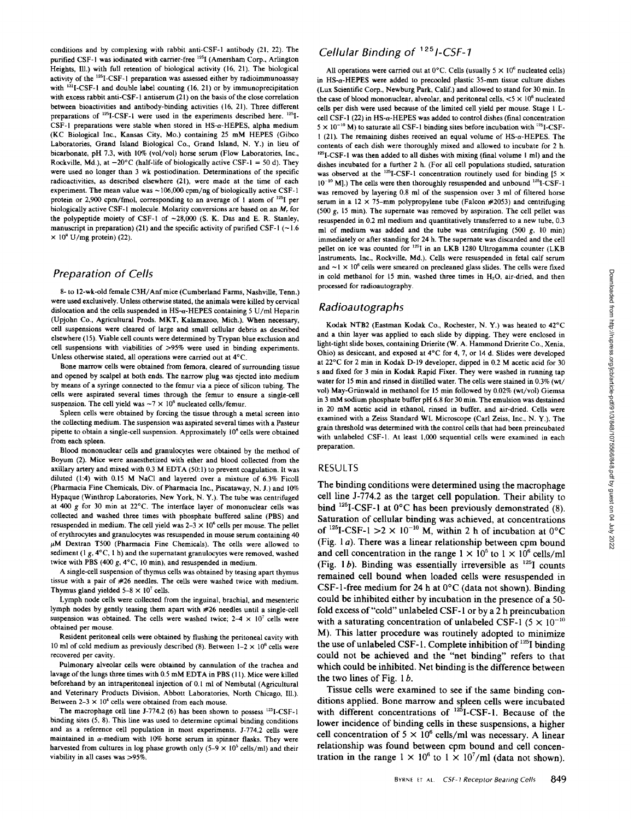conditions and by complexing with rabbit anti-CSF-1 antibody (21, 22). The purified CSF-1 was iodinated with carrier-free <sup>125</sup>I (Amersham Corp., Arlington Heights, Ill.) with full retention of biological activity (16, 21). The biological activity of the <sup>125</sup>I-CSF-1 preparation was assessed either by radioimmunoassay with  $^{131}$ I-CSF-1 and double label counting (16, 21) or by immunoprecipitation with excess rabbit anti-CSF-1 antiserum (21) on the basis of the close correlation between bioactivities and antibody-binding activities (l6, 21). Three different preparations of  $^{125}$ I-CSF-1 were used in the experiments described here.  $^{125}$ I-CSF-I preparations were stable when stored in HS-a-HEPES, alpha medium (KC Biological Inc., Kansas City, Mo.) containing <sup>25</sup> mM HEPES (Gibco Laboratories, Grand Island Biological Co., Grand Island, N. Y.) in lieu of bicarbonate, pH 7.3, with 10% (vol/vol) horse serum (Flow Laboratories, Inc., Rockville, Md.), at  $-20^{\circ}$ C (half-life of biologically active CSF-1 = 50 d). They were used no longer than 3 wk postiodination. Determinations of the specific radioactivities, as described elsewhere (2l), were made at the time of each experiment. The mean value was  $\sim$  106,000 cpm/ng of biologically active CSF-1 protein or 2,900 cpm/fmol, corresponding to an average of 1 atom of <sup>125</sup>I per biologically active CSF-1 molecule. Molarity conversions are based on an M, for the polypeptide moiety of CSF-1 of  $-28,000$  (S. K. Das and E. R. Stanley, manuscript in preparation) (21) and the specific activity of purified CSF-1 ( $\sim$ 1.6  $\times$  10<sup>8</sup> U/mg protein) (22).

#### Preparation of Cells

8- to 12-wk-old female C3H/Anfmice (Cumberland Farms, Nashville, Tenn .) were used exclusively. Unless otherwise stated, the animals were killed by cervical dislocation and the cells suspended in  $HS-\alpha$ -HEPES containing 5 U/ml Heparin (Upjohn Co., Agricultural Prods. MKT, Kalamazoo, Mich.) When necessary, cell suspensions were cleared of large and small cellular debris as described elsewhere (15) . Viable cell counts were determined by Trypan blue exclusion and cell suspensions with viabilities of >95% were used in binding experiments. Unless otherwise stated, all operations were carried out at 4°C.

Bone marrow cells were obtained from femora, cleared of surrounding tissue and opened by scalpel at both ends. The narrow plug was ejected into medium by means of a syringe connected to the femur via a piece of silicon tubing. The cells were aspirated several times through the femur to ensure a single-cell suspension. The cell yield was  $\sim$  7  $\times$  10<sup>6</sup> nucleated cells/femur.

Spleen cells were obtained by forcing the tissue through a metal screen into the collecting medium. The suspension was aspirated several times with a Pasteur pipette to obtain a single-cell suspension . Approximately <sup>10</sup>' cells were obtained from each spleen.

Blood mononuclear cells and granulocytes were obtained by the method of Boyum (2) . Mice were anaesthetized with ether and blood collected from the axillary artery and mixed with 0.3 MEDTA (50:1) to prevent coagulation. It was diluted (1 :4) with 0.15 M NaCl and layered over <sup>a</sup> mixture of 6.3% Ficoll (Pharmacia Fine Chemicals, Div. of Pharmacia Inc., Piscataway, N. J.) and 10% Hypaque (Winthrop Laboratories, New York, N. Y.) The tube was centrifuged at 400 g for 30 min at 22°C. The interface layer of mononuclear cells was collected and washed three times with phosphate buffered saline (PBS) and resuspended in medium. The cell yield was  $2-3 \times 10^6$  cells per mouse. The pellet of erythrocytes and granulocytes was resuspended in mouse serum containing 40  $\mu$ M Dextran T500 (Pharmacia Fine Chemicals). The cells were allowed to sediment (1 g,  $4^{\circ}$ C, 1 h) and the supernatant granulocytes were removed, washed twice with PBS (400 g, 4°C, <sup>10</sup> min), and resuspended in medium.

Asingle-cell suspension of thymus cells was obtained by teasing apart thymus tissue with a pair of #26 needles. The cells were washed twice with medium Thymus gland yielded  $5-8 \times 10^7$  cells.

Lymph node cells were collected from the inguinal, brachial, and mesenteric lymph nodes by gently teasing them apart with #26 needles until a single-cell suspension was obtained. The cells were washed twice;  $2-4 \times 10^7$  cells were obtained per mouse.

Resident peritoneal cells were obtained by flushing the peritoneal cavity with 10 ml of cold medium as previously described (8). Between  $1-2 \times 10^6$  cells were recovered per cavity.

Pulmonary alveolar cells were obtained by cannulation of the trachea and lavage of the lungs three times with 0.5 mM EDTA in PBS (11). Mice were killed beforehand by an intraperitoneal injection of 0.1 ml of Nembutal (Agricultural and Veterinary Products Division, Abbott Laboratories, North Chicago, Ill.). Between  $2-3 \times 10^4$  cells were obtained from each mouse.

The macrophage cell line J-774.2 (6) has been shown to possess '251-CSF-I binding sites (5, 8). This line was used to determine optimal binding conditions and as a reference cell population in most experiments. J-774.2 cells were maintained in  $\alpha$ -medium with 10% horse serum in spinner flasks. They were harvested from cultures in log phase growth only  $(5-9 \times 10^5 \text{ cells/ml})$  and their viability in all cases was >95%.

# Cellular Binding of <sup>125</sup> 1-CSF-1

All operations were carried out at  $0^{\circ}$ C. Cells (usually  $5 \times 10^6$  nucleated cells) in HS-a-HEPES were added to precooled plastic 35-mm tissue culture dishes (Lux Scientific Corp., Newburg Park, Calif.) and allowed to stand for 30 min. In the case of blood mononuclear, alveolar, and peritoneal cells,  $< 5 \times 10^6$  nucleated cells per dish were used because of the limited cell yield per mouse. Stage <sup>1</sup> Lcell CSF-1 (22) in HS-a-HEPES was added to control dishes (final concentration  $5 \times 10^{-10}$  M) to saturate all CSF-1 binding sites before incubation with <sup>125</sup>I-CSF-<sup>1</sup> (2l). The remaining dishes received an equal volume of HS-a-HEPES . The contents of each dish were thoroughly mixed and allowed to incubate for 2 h.  $125$ I-CSF-1 was then added to all dishes with mixing (final volume 1 ml) and the dishes incubated for a further 2 h. (For all cell populations studied, saturation was observed at the  $^{125}$ I-CSF-1 concentration routinely used for binding [5  $\times$  $10^{-10}$  M].) The cells were then thoroughly resuspended and unbound  $^{125}$ I-CSF-1 was removed by layering 0.8 ml of the suspension over 3 ml of filtered horse serum in a  $12 \times 75$ -mm polypropylene tube (Falcon #2053) and centrifuging  $(500 \text{ g}, 15 \text{ min})$ . The supernate was removed by aspiration. The cell pellet was resuspended in 0.2 ml medium and quantitatively transferred to a new tube, 0.3 ml of medium was added and the tube was centrifuging  $(500 \text{ g}, 10 \text{ min})$ immediately or after standing for 24 h. The supernate was discarded and the cell pellet on ice was counted for <sup>125</sup>I in an LKB 1280 Ultrogamma counter (LKB Instruments, Inc., Rockville, Md.). Cells were resuspended in fetal calf serum and  $\sim$  1  $\times$  10<sup>6</sup> cells were smeared on precleaned glass slides. The cells were fixed in cold methanol for 15 min, washed three times in  $H<sub>2</sub>O$ , air-dried, and then processed for radioautography

#### Radioautographs

Kodak NTB2 (Eastman Kodak Co., Rochester, N. Y.) was heated to 42°C and a thin layer was applied to each slide by dipping. They were enclosed in light-tight slide boxes, containing Drierite (W. A. Hammond Drierite Co., Xenia, Ohio) as desiccant, and exposed at 4°C for 4, 7, or 14 d. Slides were developed at 22°C for <sup>2</sup> min in Kodak D-19 developer, dipped in 0.2 M acetic acid for <sup>30</sup> <sup>s</sup> and fixed for 3 min in Kodak Rapid Fixer. They were washed in running tap water for 15 min and rinsed in distilled water. The cells were stained in 0.3% (wt/ vol) May-Griinwald in methanol for 15 min followed by 0.02% (wt/vol) Giemsa in <sup>3</sup> mM sodium phosphate buffer pH6.8 for <sup>30</sup> min. The emulsion was destained in 20 mM acetic acid in ethanol, rinsed in buffer, and air-dried. Cells were examined with <sup>a</sup> Zeiss Standard WL Microscope (Carl Zeiss, Inc., N. Y.). The grain threshold was determined with the control cells that had been preincubated with unlabeled CSF-1. At least 1,000 sequential cells were examined in each preparation.

#### RESULTS

The binding conditions were determined using the macrophage cell line J-774.2 as the target cell population . Their ability to bind  $^{125}$ I-CSF-1 at 0°C has been previously demonstrated (8). Saturation of cellular binding was achieved, at concentrations of <sup>125</sup>I-CSF-1 > 2 × 10<sup>-10</sup> M, within 2 h of incubation at 0<sup>o</sup>C (Fig.  $1a$ ). There was a linear relationship between cpm bound and cell concentration in the range  $1 \times 10^5$  to  $1 \times 10^6$  cells/ml (Fig. 1b). Binding was essentially irreversible as  $^{125}I$  counts remained cell bound when loaded cells were resuspended in CSF-1-free medium for 24 h at  $0^{\circ}$ C (data not shown). Binding could be inhibited either by incubation in the presence of a 50 fold excess of"cold" unlabeled CSF-1 or by a 2 h preincubation with a saturating concentration of unlabeled CSF-1 ( $5 \times 10^{-10}$ ) M). This latter procedure was routinely adopted to minimize the use of unlabeled CSF-1. Complete inhibition of  $^{125}$ I binding could not be achieved and the "net binding" refers to that which could be inhibited. Net binding is the difference between the two lines of Fig.  $1 b$ .

Tissue cells were examined to see if the same binding conditions applied. Bone marrow and spleen cells were incubated with different concentrations of <sup>125</sup>I-CSF-1. Because of the lower incidence of binding cells in these suspensions, a higher cell concentration of  $5 \times 10^6$  cells/ml was necessary. A linear relationship was found between cpm bound and cell concentration in the range  $1 \times 10^6$  to  $1 \times 10^7$ /ml (data not shown).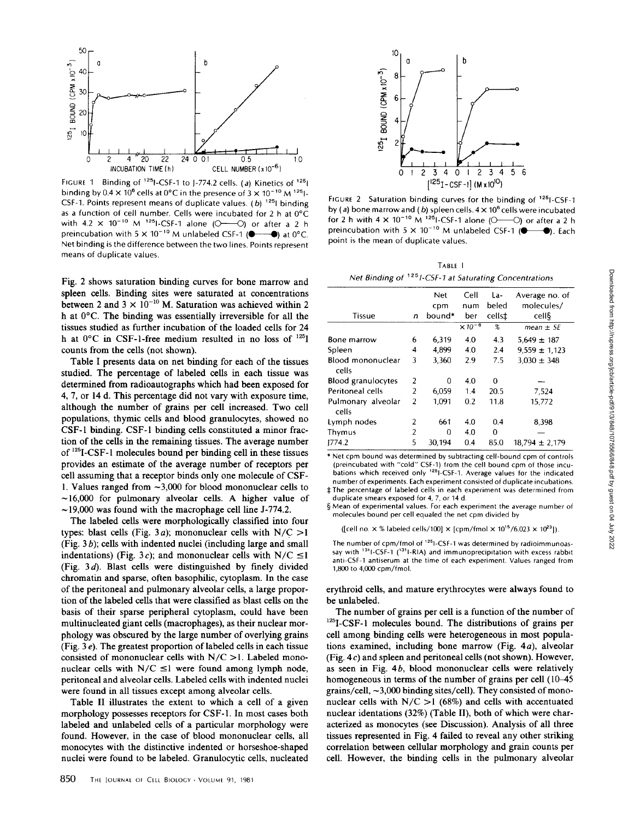

binding by  $0.4 \times 10^6$  cells at  $0^{\circ}$ C in the presence of  $3 \times 10^{-10}$  M  $^{125}$ I-CSF-1. Points represent means of duplicate values. (b)  $125$  binding as a function of cell number. Cells were incubated for 2 h at  $0^{\circ}$ C with 4.2  $\times$  10<sup>-10</sup> M <sup>125</sup>I-CSF-1 alone (O------O) or after a 2 h preincubation with 5  $\times$  10<sup>-10</sup> M unlabeled CSF-1 ( $\bullet$   $\bullet$ ) at 0°C. Net binding is the difference between the two lines Points represent means of duplicate values.

Fig. <sup>2</sup> shows saturation binding curves for bone marrow and spleen cells. Binding sites were saturated at concentrations between 2 and 3  $\times$  10<sup>-10</sup> M. Saturation was achieved within 2 h at 0°C. The binding was essentially irreversible for all the tissues studied as further incubation of the loaded cells for 24 h at  $0^{\circ}$ C in CSF-1-free medium resulted in no loss of  $1^{25}$ I counts from the cells (not shown).

Table <sup>I</sup> presents data on net binding for each of the tissues studied. The percentage of labeled cells in each tissue was determined from radioautographs which had been exposed for 4, 7, or 14 d. This percentage did not vary with exposure time, although the number of grains per cell increased. Two cell populations, thymic cells and blood granulocytes, showed no CSF-1 binding. CSF-1 binding cells constituted a minor fraction of the cells in the remaining tissues . The average number of <sup>125</sup>I-CSF-1 molecules bound per binding cell in these tissues provides an estimate of the average number of receptors per cell assuming that a receptor binds only one molecule of CSF-1. Values ranged from  $\sim$ 3,000 for blood mononuclear cells to  $~16,000$  for pulmonary alveolar cells. A higher value of  $\sim$ 19,000 was found with the macrophage cell line J-774.2.

The labeled cells were morphologically classified into four types: blast cells (Fig. 3*a*); mononuclear cells with  $N/C > 1$  $(Fig. 3b)$ ; cells with indented nuclei (including large and small indentations) (Fig. 3c); and mononuclear cells with N/C  $\leq$ 1 (Fig.  $3 d$ ). Blast cells were distinguished by finely divided chromatin and sparse, often basophilic, cytoplasm. In the case of the peritoneal and pulmonary alveolar cells, a large proportion of the labeled cells that were classified as blast cells on the basis of their sparse peripheral cytoplasm, could have been multinucleated giant cells (macrophages), as their nuclear morphology was obscured by the large number of overlying grains (Fig. 3  $e$ ). The greatest proportion of labeled cells in each tissue consisted of mononuclear cells with  $N/C > 1$ . Labeled mononuclear cells with  $N/C \leq 1$  were found among lymph node, peritoneal and alveolar cells . Labeled cells with indented nuclei were found in all tissues except among alveolar cells.

Table II illustrates the extent to which a cell of a given morphology possesses receptors for CSF-1. In most cases both labeled and unlabeled cells of a particular morphology were found. However, in the case of blood mononuclear cells, all monocytes with the distinctive indented or horseshoe-shaped nuclei were found to be labeled. Granulocytic cells, nucleated



FIGURE 2 Saturation binding curves for the binding of <sup>125</sup>I-CSF-1 by (a) bone marrow and (b) spleen cells.  $4 \times 10^6$  cells were incubated for 2 h with  $4 \times 10^{-10}$  M  $^{125}$  CSF-1 alone (O-O) or after a 2 h preincubation with 5  $\times$  10<sup>-10</sup> M unlabeled CSF-1 ( $\bullet$  -  $\bullet$ ). Each point is the mean of duplicate values.

TARLE<sub>1</sub> Net Binding of <sup>125</sup>1-CSF-1 at Saturating Concentrations

| Tissue                      | n              | Net<br>cpm<br>bound* | Cell<br>num<br>ber | La-<br>beled<br>cells‡ | Average no. of<br>molecules/<br>cell§ |
|-----------------------------|----------------|----------------------|--------------------|------------------------|---------------------------------------|
|                             |                |                      | $\times 10^{-6}$   | %                      | $mean \pm SE$                         |
| Bone marrow                 | 6              | 6,319                | 4.0                | 4.3                    | $5.649 \pm 187$                       |
| Spleen                      | 4              | 4,899                | 4.0                | 2.4                    | $9.559 \pm 1.123$                     |
| Blood mononuclear<br>cells  | 3              | 3,360                | 2.9                | 7.5                    | $3.030 \pm 348$                       |
| Blood granulocytes          | $\overline{2}$ | O                    | 4.0                | 0                      |                                       |
| Peritoneal cells            | 2              | 6,059                | 1,4                | 20.5                   | 7.524                                 |
| Pulmonary alveolar<br>cells | 2              | 1,091                | 0.2                | 11.8                   | 15,772                                |
| Lymph nodes                 | 2              | 661                  | 4.0                | 0.4                    | 8,398                                 |
| Thymus                      | 2              | $\Omega$             | 4.0                | $\Omega$               |                                       |
| 1774.2                      | 5              | 30,194               | 0.4                | 85.0                   | $18.794 \pm 2.179$                    |

\* Net cpm bound was determined by subtracting cell-bound cpm of controls (preincubated with "cold" CSF-1) from the cell bound cpm of those incu-<br>bations which received only <sup>125</sup>I-CSF-1. Average values for the indicated number of experiments. Each experiment consisted of duplicate incubations.  $\ddagger$  The percentage of labeled cells in each experiment was determined from

duplicate smears exposed for 4, 7, or 14 d. § Mean of experimental values. For each experiment the average number of

molecules bound per cell equaled the net cpm divided by

([cell no.  $\times$  % labeled cells/100]  $\times$  [cpm/fmol  $\times$  10<sup>15</sup>/6.023  $\times$  10<sup>23</sup>]).

The number of cpm/fmol of <sup>125</sup>1-CSF-1 was determined by radioimmunoassay with  $131$ -CSF-1 ( $131$ I-RIA) and immunoprecipitation with excess rabbit anti-CSF-1 antiserum at the time of each experiment. Values ranged from 1,800 to 4,000 cpm/fmol.

erythroid cells, and mature erythrocytes were always found to be unlabeled.

The number of grains per cell is a function of the number of <sup>125</sup>I-CSF-1 molecules bound. The distributions of grains per cell among binding cells were heterogeneous in most populations examined, including bone marrow (Fig. 4a), alveolar (Fig . 4 c) and spleen and peritoneal cells (not shown). However, as seen in Fig. 4b, blood mononuclear cells were relatively homogeneous in terms of the number of grains per cell (10–45) grains/cell,  $\sim$ 3,000 binding sites/cell). They consisted of mononuclear cells with  $N/C > 1$  (68%) and cells with accentuated nuclear identations (32%) (Table II), both of which were characterized as monocytes (see Discussion). Analysis of all three tissues represented in Fig. 4 failed to reveal any other striking correlation between cellular morphology and grain counts per cell. However, the binding cells in the pulmonary alveolar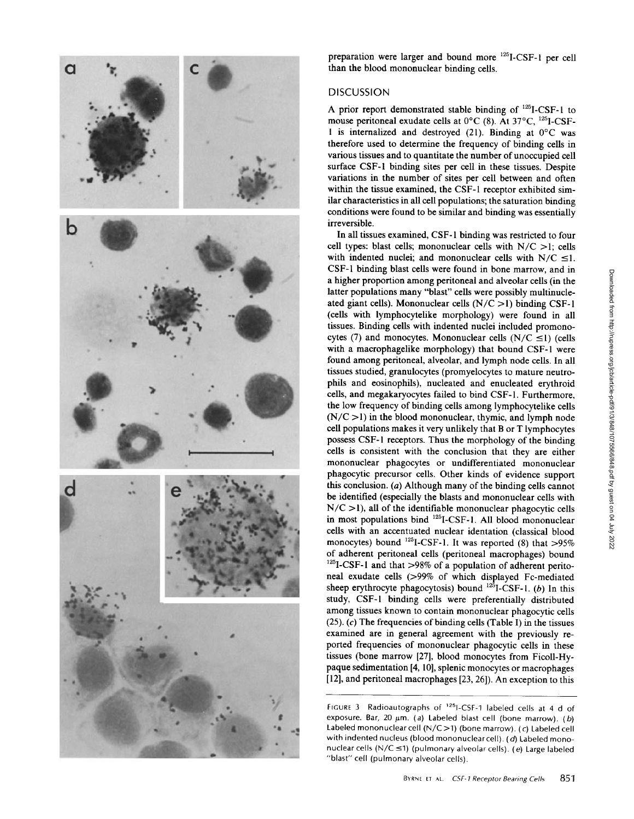

preparation were larger and bound more 1251-CSF-1 per cell than the blood mononuclear binding cells.

### DISCUSSION

A prior report demonstrated stable binding of <sup>125</sup> 1-CSF-1 to mouse peritoneal exudate cells at  $0^{\circ}$ C (8). At  $37^{\circ}$ C,  $^{125}$ I-CSF-1 is internalized and destroyed (21). Binding at  $0^{\circ}$ C was therefore used to determine the frequency of binding cells in various tissues and to quantitate the number of unoccupied cell surface CSF-1 binding sites per cell in these tissues. Despite variations in the number of sites per cell between and often within the tissue examined, the CSF-1 receptor exhibited similar characteristics in all cell populations; the saturation binding conditions were found to be similar and binding was essentially irreversible.

In all tissues examined, CSF-1 binding was restricted to four cell types: blast cells; mononuclear cells with  $N/C > 1$ ; cells with indented nuclei; and mononuclear cells with  $N/C \leq 1$ . CSF-1 binding blast cells were found in bone marrow, and in a higher proportion among peritoneal and alveolar cells (in the latter populations many "blast" cells were possibly multinucleated giant cells). Mononuclear cells  $(N/C > 1)$  binding CSF-1 (cells with lymphocytelike morphology) were found in all tissues . Binding cells with indented nuclei included promonocytes (7) and monocytes. Mononuclear cells  $(N/C \le 1)$  (cells with a macrophagelike morphology) that bound CSF-1 were found among peritoneal, alveolar, and lymph node cells. In all tissues studied, granulocytes (promyelocytes to mature neutrophils and eosinophils), nucleated and enucleated erythroid cells, and megakaryocytes failed to bind CSF-1 . Furthermore, the low frequency of binding cells among lymphocytelike cells  $(N/C > 1)$  in the blood mononuclear, thymic, and lymph node cell populations makes it very unlikely that B or T lymphocytes possess CSF-1 receptors. Thus the morphology of the binding cells is consistent with the conclusion that they are either mononuclear phagocytes or undifferentiated mononuclear phagocytic precursor cells . Other kinds of evidence support this conclusion. (a) Although many of the binding cells cannot be identified (especially the blasts and mononuclear cells with  $N/C > 1$ ), all of the identifiable mononuclear phagocytic cells in most populations bind <sup>125</sup>I-CSF-1. All blood mononuclear cells with an accentuated nuclear identation (classical blood monocytes) bound <sup>125</sup>I-CSF-1. It was reported (8) that  $>95\%$ of adherent peritoneal cells (peritoneal macrophages) bound  $125$ I-CSF-1 and that >98% of a population of adherent peritoneal exudate cells (>99% of which displayed Fc-mediated sheep erythrocyte phagocytosis) bound  $^{125}$ I-CSF-1. (b) In this study, CSF-1 binding cells were preferentially distributed among tissues known to contain mononuclear phagocytic cells (25). (c) The frequencies of binding cells (Table I) in the tissues examined are in general agreement with the previously reported frequencies of mononuclear phagocytic cells in these tissues (bone marrow [27], blood monocytes from Ficoll-Hypaque sedimentation [4, 10], splenic monocytes or macrophages [ 12], and peritoneal macrophages [23, 26]) . An exception to this

FIGURE 3 Radioautographs of <sup>125</sup>1-CSF-1 labeled cells at 4 d of exposure. Bar, 20  $\mu$ m. (a) Labeled blast cell (bone marrow). (b) Labeled mononuclear cell (N/C >1) (bone marrow) (c) Labeled cell with indented nucleus (blood mononuclear cell).  $(d)$  Labeled mononuclear cells (N/C  $\leq$ 1) (pulmonary alveolar cells). (e) Large labeled "blast" cell (pulmonary alveolar cells).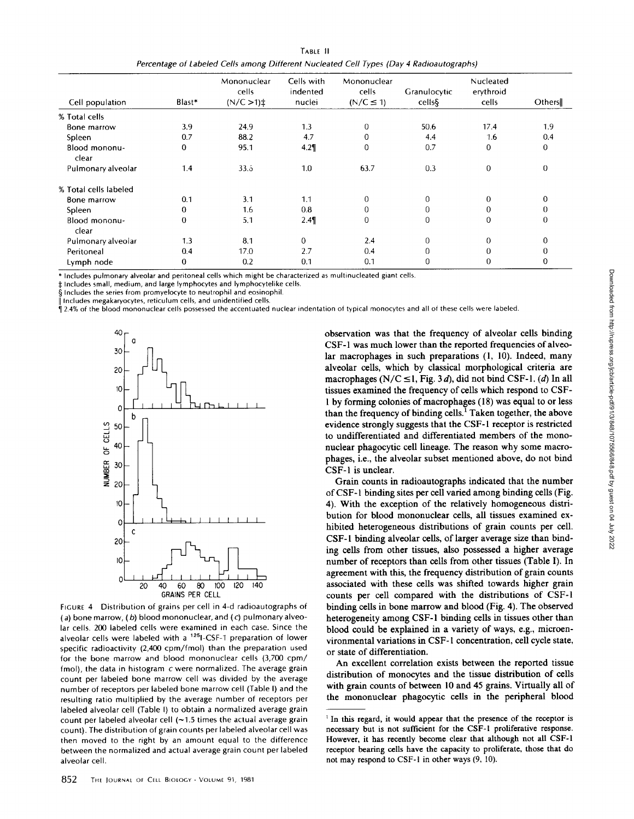| Tarif II.                                                                                |
|------------------------------------------------------------------------------------------|
| Percentage of Labeled Cells among Different Nucleated Cell Types (Day 4 Radioautographs) |

|                        |        | Mononuclear<br>cells     | Cells with<br>indented | Mononuclear<br>cells | Granulocytic | Nucleated<br>erythroid |          |
|------------------------|--------|--------------------------|------------------------|----------------------|--------------|------------------------|----------|
| Cell population        | Blast* | $(N/C > 1)$ <sup>±</sup> | nuclei                 | $(N/C \leq 1)$       | cells§       | cells                  | Others   |
| % Total cells          |        |                          |                        |                      |              |                        |          |
| Bone marrow            | 3.9    | 24.9                     | 1.3                    | 0                    | 50.6         | 17.4                   | 1.9      |
| Spleen                 | 0.7    | 88.2                     | 4.7                    | 0                    | 4.4          | 1.6                    | 0.4      |
| Blood mononu-<br>clear | 0      | 95.1                     | 4.2                    | 0                    | 0.7          | $\mathbf{0}$           | $\Omega$ |
| Pulmonary alveolar     | 1.4    | $33.\overline{5}$        | 1.0                    | 63.7                 | 0.3          | 0                      | 0        |
| % Total cells labeled  |        |                          |                        |                      |              |                        |          |
| Bone marrow            | 0.1    | 3.1                      | 1.1                    | 0                    | $\mathbf{0}$ | $\Omega$               | 0        |
| Spleen                 | 0      | 1.6                      | 0.8                    | 0                    | $\Omega$     | $\Omega$               |          |
| Blood mononu-<br>clear | 0      | 5,1                      | 2.4                    | 0                    | $\mathbf 0$  | 0                      | 0        |
| Pulmonary alveolar     | 1.3    | 8.1                      | 0                      | 2.4                  | $\mathbf{0}$ | $\Omega$               |          |
| Peritoneal             | 0.4    | 17.0                     | 2.7                    | 0.4                  | 0            | $\mathbf 0$            |          |
| Lymph node             | 0      | 0.2                      | 0.1                    | 0.1                  | 0            | $\Omega$               | O        |

\* Includes pulmonary alveolar and peritoneal cells which might be characterized as multinucleated giant cells

 $\ddagger$  Includes small, medium, and large lymphocytes and lymphocytelike cells.

§ Includes the series from promyelocyte to neutrophil and eosinophil .

 $\parallel$  includes megakaryocytes, reticulum cells, and unidentified cells.

2.4% of the blood mononuclear cells possessed the accentuated nuclear indentation of typical monocytes and all of these cells were labeled.



FicURE 4 Distribution of grains per cell in 4-d radioautographs of (a) bone marrow,  $(b)$  blood mononuclear, and  $(c)$  pulmonary alveolar cells. 200 labeled cells were examined in each case. Since the alveolar cells were labeled with a <sup>125</sup>1-CSF-1 preparation of lower specific radioactivity (2,400 cpm/fmol) than the preparation used for the bone marrow and blood mononuclear cells (3,700 cpm/  $f$ mol), the data in histogram  $c$  were normalized. The average grain count per labeled bone marrow cell was divided by the average number of receptors per labeled bone marrow cell (Table I) and the resulting ratio multiplied by the average number of receptors per labeled alveolar cell (Table I) to obtain a normalized average grain count per labeled alveolar cell  $(-1.5)$  times the actual average grain count) . The distribution of grain counts per labeled alveolar cell was then moved to the right by an amount equal to the difference between the normalized and actual average grain count per labeled alveolar cell .

observation was that the frequency of alveolar cells binding CSF-1 was much lower than the reported frequencies of alveolar macrophages in such preparations (1, 10). Indeed, many alveolar cells, which by classical morphological criteria are macrophages (N/C  $\leq$ 1, Fig. 3d), did not bind CSF-1. (d) In all tissues examined the frequency of cells which respond to CSF-1 by forming colonies of macrophages (18) was equal to or less than the frequency of binding cells.' Taken together, the above evidence strongly suggests that the CSF-1 receptor is restricted to undifferentiated and differentiated members of the mononuclear phagocytic cell lineage. The reason why some macrophages, i.e., the alveolar subset mentioned above, do not bind CSF-1 is unclear.

Grain counts in radioautographs indicated that the number of CSF-1 binding sites per cell varied among binding cells (Fig. 4). With the exception of the relatively homogeneous distribution for blood mononuclear cells, all tissues examined exhibited heterogeneous distributions of grain counts per cell. CSF-1 binding alveolar cells, of larger average size than binding cells from other tissues, also possessed a higher average number of receptors than cells from other tissues (Table I). In agreement with this, the frequency distribution of grain counts associated with these cells was shifted towards higher grain counts per cell compared with the distributions of CSF-1 binding cells in bone marrow and blood (Fig. 4). The observed heterogeneity among CSF-1 binding cells in tissues other than blood could be explained in a variety of ways, e.g., microenvironmental variations in CSF-1 concentration, cell cycle state, or state of differentiation .

An excellent correlation exists between the reported tissue distribution of monocytes and the tissue distribution of cells with grain counts of between 10 and 45 grains. Virtually all of the mononuclear phagocytic cells in the peripheral blood

<sup>&</sup>lt;sup>1</sup> In this regard, it would appear that the presence of the receptor is necessary but is not sufficient for the CSF-1 proliferative response . However, it has recently become clear that although not all CSF-1 receptor bearing cells have the capacity to proliferate, those that do not may respond to CSF-1 in other ways (9, 10).